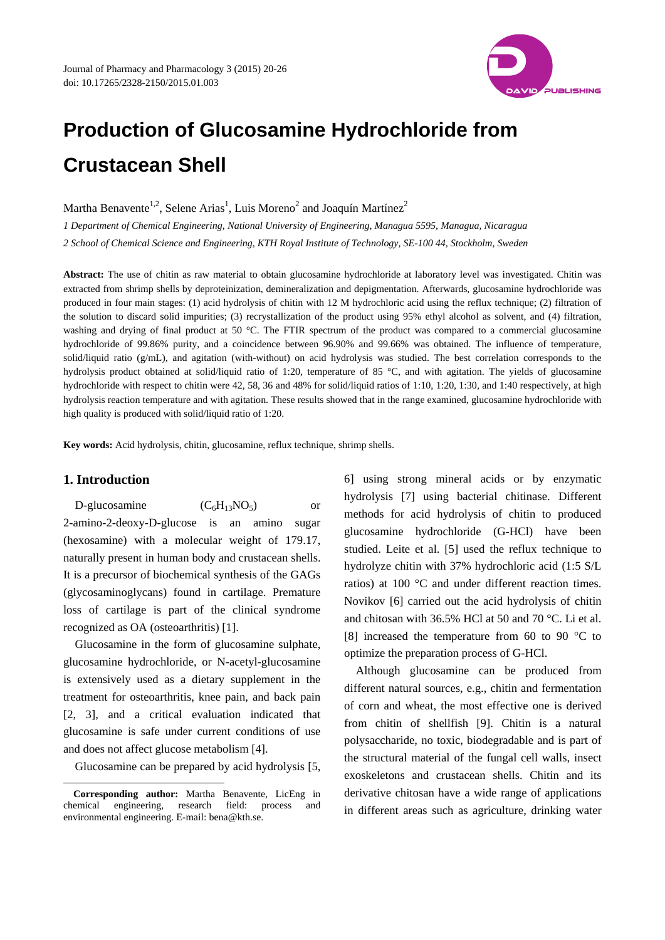

# **Production of Glucosamine Hydrochloride from Crustacean Shell**

Martha Benavente<sup>1,2</sup>, Selene Arias<sup>1</sup>, Luis Moreno<sup>2</sup> and Joaquín Martínez<sup>2</sup>

*1 Department of Chemical Engineering, National University of Engineering, Managua 5595, Managua, Nicaragua 2 School of Chemical Science and Engineering, KTH Royal Institute of Technology, SE-100 44, Stockholm, Sweden* 

**Abstract:** The use of chitin as raw material to obtain glucosamine hydrochloride at laboratory level was investigated. Chitin was extracted from shrimp shells by deproteinization, demineralization and depigmentation. Afterwards, glucosamine hydrochloride was produced in four main stages: (1) acid hydrolysis of chitin with 12 M hydrochloric acid using the reflux technique; (2) filtration of the solution to discard solid impurities; (3) recrystallization of the product using 95% ethyl alcohol as solvent, and (4) filtration, washing and drying of final product at 50 °C. The FTIR spectrum of the product was compared to a commercial glucosamine hydrochloride of 99.86% purity, and a coincidence between 96.90% and 99.66% was obtained. The influence of temperature, solid/liquid ratio (g/mL), and agitation (with-without) on acid hydrolysis was studied. The best correlation corresponds to the hydrolysis product obtained at solid/liquid ratio of 1:20, temperature of 85 °C, and with agitation. The yields of glucosamine hydrochloride with respect to chitin were 42, 58, 36 and 48% for solid/liquid ratios of 1:10, 1:20, 1:30, and 1:40 respectively, at high hydrolysis reaction temperature and with agitation. These results showed that in the range examined, glucosamine hydrochloride with high quality is produced with solid/liquid ratio of 1:20.

**Key words:** Acid hydrolysis, chitin, glucosamine, reflux technique, shrimp shells.

## **1. Introduction**

 $\overline{a}$ 

D-glucosamine  $(C_6H_{13}NO_5)$  or 2-amino-2-deoxy-D-glucose is an amino sugar (hexosamine) with a molecular weight of 179.17, naturally present in human body and crustacean shells. It is a precursor of biochemical synthesis of the GAGs (glycosaminoglycans) found in cartilage. Premature loss of cartilage is part of the clinical syndrome recognized as OA (osteoarthritis) [1].

Glucosamine in the form of glucosamine sulphate, glucosamine hydrochloride, or N-acetyl-glucosamine is extensively used as a dietary supplement in the treatment for osteoarthritis, knee pain, and back pain [2, 3], and a critical evaluation indicated that glucosamine is safe under current conditions of use and does not affect glucose metabolism [4].

Glucosamine can be prepared by acid hydrolysis [5,

6] using strong mineral acids or by enzymatic hydrolysis [7] using bacterial chitinase. Different methods for acid hydrolysis of chitin to produced glucosamine hydrochloride (G-HCl) have been studied. Leite et al. [5] used the reflux technique to hydrolyze chitin with 37% hydrochloric acid (1:5 S/L ratios) at 100 °C and under different reaction times. Novikov [6] carried out the acid hydrolysis of chitin and chitosan with 36.5% HCl at 50 and 70 °C. Li et al. [8] increased the temperature from 60 to 90  $\degree$ C to optimize the preparation process of G-HCl.

Although glucosamine can be produced from different natural sources, e.g., chitin and fermentation of corn and wheat, the most effective one is derived from chitin of shellfish [9]. Chitin is a natural polysaccharide, no toxic, biodegradable and is part of the structural material of the fungal cell walls, insect exoskeletons and crustacean shells. Chitin and its derivative chitosan have a wide range of applications in different areas such as agriculture, drinking water

**Corresponding author:** Martha Benavente, LicEng in chemical engineering, research field: process and environmental engineering. E-mail: bena@kth.se.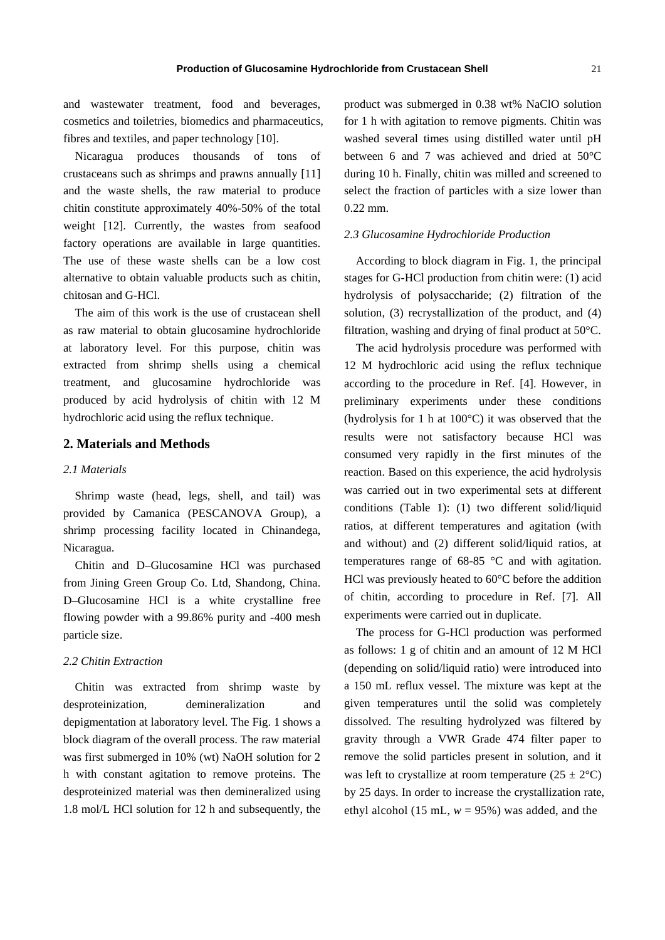21

and wastewater treatment, food and beverages, cosmetics and toiletries, biomedics and pharmaceutics, fibres and textiles, and paper technology [10].

Nicaragua produces thousands of tons of crustaceans such as shrimps and prawns annually [11] and the waste shells, the raw material to produce chitin constitute approximately 40%-50% of the total weight [12]. Currently, the wastes from seafood factory operations are available in large quantities. The use of these waste shells can be a low cost alternative to obtain valuable products such as chitin, chitosan and G-HCl.

The aim of this work is the use of crustacean shell as raw material to obtain glucosamine hydrochloride at laboratory level. For this purpose, chitin was extracted from shrimp shells using a chemical treatment, and glucosamine hydrochloride was produced by acid hydrolysis of chitin with 12 M hydrochloric acid using the reflux technique.

# **2. Materials and Methods**

### *2.1 Materials*

Shrimp waste (head, legs, shell, and tail) was provided by Camanica (PESCANOVA Group), a shrimp processing facility located in Chinandega, Nicaragua.

Chitin and D–Glucosamine HCl was purchased from Jining Green Group Co. Ltd, Shandong, China. D–Glucosamine HCl is a white crystalline free flowing powder with a 99.86% purity and -400 mesh particle size.

## *2.2 Chitin Extraction*

Chitin was extracted from shrimp waste by desproteinization, demineralization and depigmentation at laboratory level. The Fig. 1 shows a block diagram of the overall process. The raw material was first submerged in 10% (wt) NaOH solution for 2 h with constant agitation to remove proteins. The desproteinized material was then demineralized using 1.8 mol/L HCl solution for 12 h and subsequently, the product was submerged in 0.38 wt% NaClO solution for 1 h with agitation to remove pigments. Chitin was washed several times using distilled water until pH between 6 and 7 was achieved and dried at 50°C during 10 h. Finally, chitin was milled and screened to select the fraction of particles with a size lower than 0.22 mm.

#### *2.3 Glucosamine Hydrochloride Production*

According to block diagram in Fig. 1, the principal stages for G-HCl production from chitin were: (1) acid hydrolysis of polysaccharide; (2) filtration of the solution, (3) recrystallization of the product, and (4) filtration, washing and drying of final product at 50°C.

The acid hydrolysis procedure was performed with 12 M hydrochloric acid using the reflux technique according to the procedure in Ref. [4]. However, in preliminary experiments under these conditions (hydrolysis for 1 h at 100°C) it was observed that the results were not satisfactory because HCl was consumed very rapidly in the first minutes of the reaction. Based on this experience, the acid hydrolysis was carried out in two experimental sets at different conditions (Table 1): (1) two different solid/liquid ratios, at different temperatures and agitation (with and without) and (2) different solid/liquid ratios, at temperatures range of 68-85 °C and with agitation. HCl was previously heated to 60°C before the addition of chitin, according to procedure in Ref. [7]. All experiments were carried out in duplicate.

The process for G-HCl production was performed as follows: 1 g of chitin and an amount of 12 M HCl (depending on solid/liquid ratio) were introduced into a 150 mL reflux vessel. The mixture was kept at the given temperatures until the solid was completely dissolved. The resulting hydrolyzed was filtered by gravity through a VWR Grade 474 filter paper to remove the solid particles present in solution, and it was left to crystallize at room temperature  $(25 \pm 2^{\circ}C)$ by 25 days. In order to increase the crystallization rate, ethyl alcohol (15 mL,  $w = 95\%$ ) was added, and the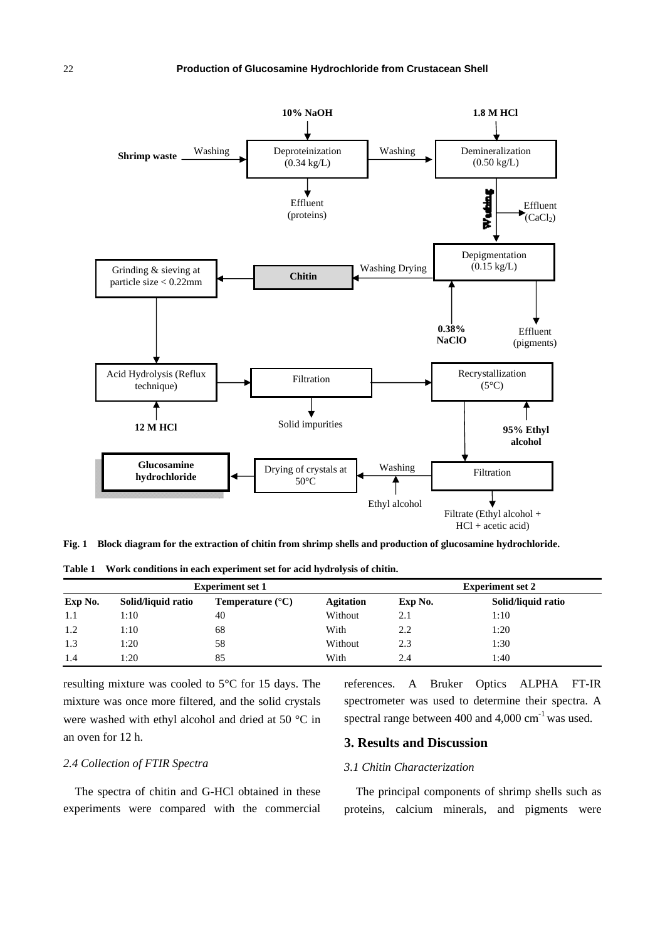

**Fig. 1 Block diagram for the extraction of chitin from shrimp shells and production of glucosamine hydrochloride.** 

|  | Table 1 Work conditions in each experiment set for acid hydrolysis of chitin. |
|--|-------------------------------------------------------------------------------|
|  |                                                                               |

| <b>Experiment set 1</b> |                    |                           |                  | <b>Experiment set 2</b> |                    |  |
|-------------------------|--------------------|---------------------------|------------------|-------------------------|--------------------|--|
| Exp No.                 | Solid/liquid ratio | Temperature $(^{\circ}C)$ | <b>Agitation</b> | Exp No.                 | Solid/liquid ratio |  |
| 1.1                     | 1:10               | 40                        | Without          | 2.1                     | 1:10               |  |
| 1.2                     | 1:10               | 68                        | With             | 2.2                     | 1:20               |  |
| 1.3                     | 1:20               | 58                        | Without          | 2.3                     | 1:30               |  |
| 1.4                     | 1:20               | 85                        | With             | 2.4                     | 1:40               |  |

resulting mixture was cooled to 5°C for 15 days. The mixture was once more filtered, and the solid crystals were washed with ethyl alcohol and dried at 50 °C in an oven for 12 h.

references. A Bruker Optics ALPHA FT-IR spectrometer was used to determine their spectra. A spectral range between 400 and  $4,000 \text{ cm}^{-1}$  was used.

# **3. Results and Discussion**

#### *3.1 Chitin Characterization*

The spectra of chitin and G-HCl obtained in these experiments were compared with the commercial

*2.4 Collection of FTIR Spectra* 

The principal components of shrimp shells such as proteins, calcium minerals, and pigments were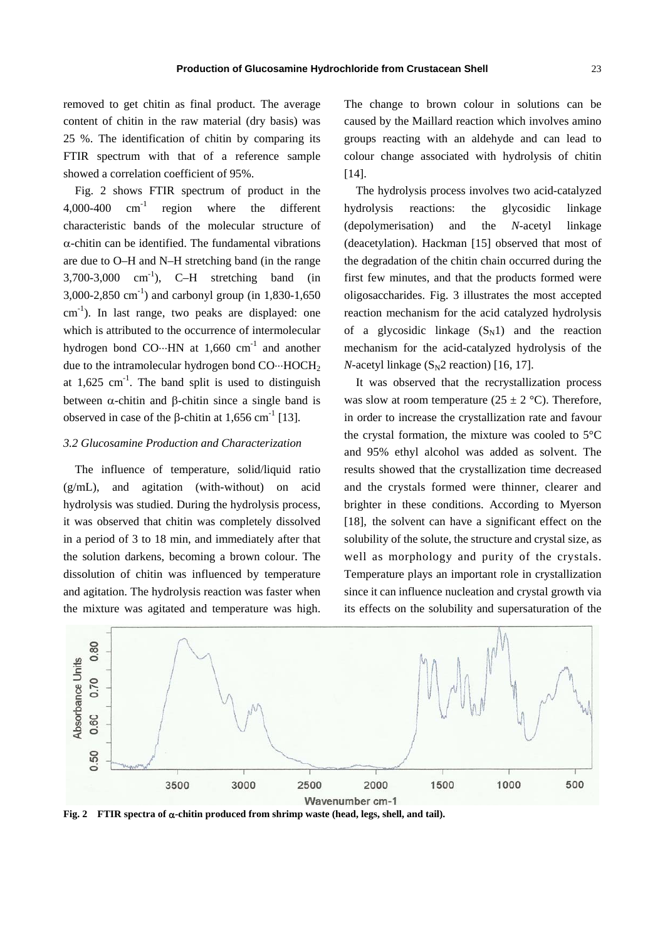removed to get chitin as final product. The average content of chitin in the raw material (dry basis) was 25 %. The identification of chitin by comparing its FTIR spectrum with that of a reference sample showed a correlation coefficient of 95%.

Fig. 2 shows FTIR spectrum of product in the 4,000-400 cm-1 region where the different characteristic bands of the molecular structure of  $\alpha$ -chitin can be identified. The fundamental vibrations are due to O–H and N–H stretching band (in the range  $3,700-3,000$  cm<sup>-1</sup>), C-H stretching band (in 3,000-2,850 cm<sup>-1</sup>) and carbonyl group (in 1,830-1,650 cm<sup>-1</sup>). In last range, two peaks are displayed: one which is attributed to the occurrence of intermolecular hydrogen bond CO $\cdots$ HN at 1,660 cm<sup>-1</sup> and another due to the intramolecular hydrogen bond  $CO \cdots HOCH_2$ at  $1,625$  cm<sup>-1</sup>. The band split is used to distinguish between  $\alpha$ -chitin and  $\beta$ -chitin since a single band is observed in case of the  $\beta$ -chitin at 1,656 cm<sup>-1</sup> [13].

# *3.2 Glucosamine Production and Characterization*

The influence of temperature, solid/liquid ratio (g/mL), and agitation (with-without) on acid hydrolysis was studied. During the hydrolysis process, it was observed that chitin was completely dissolved in a period of 3 to 18 min, and immediately after that the solution darkens, becoming a brown colour. The dissolution of chitin was influenced by temperature and agitation. The hydrolysis reaction was faster when the mixture was agitated and temperature was high. The change to brown colour in solutions can be caused by the Maillard reaction which involves amino groups reacting with an aldehyde and can lead to colour change associated with hydrolysis of chitin [14].

The hydrolysis process involves two acid-catalyzed hydrolysis reactions: the glycosidic linkage (depolymerisation) and the *N*-acetyl linkage (deacetylation). Hackman [15] observed that most of the degradation of the chitin chain occurred during the first few minutes, and that the products formed were oligosaccharides. Fig. 3 illustrates the most accepted reaction mechanism for the acid catalyzed hydrolysis of a glycosidic linkage  $(S_N1)$  and the reaction mechanism for the acid-catalyzed hydrolysis of the *N*-acetyl linkage  $(S_N2$  reaction) [16, 17].

It was observed that the recrystallization process was slow at room temperature ( $25 \pm 2$  °C). Therefore, in order to increase the crystallization rate and favour the crystal formation, the mixture was cooled to 5°C and 95% ethyl alcohol was added as solvent. The results showed that the crystallization time decreased and the crystals formed were thinner, clearer and brighter in these conditions. According to Myerson [18], the solvent can have a significant effect on the solubility of the solute, the structure and crystal size, as well as morphology and purity of the crystals. Temperature plays an important role in crystallization since it can influence nucleation and crystal growth via its effects on the solubility and supersaturation of the



Fig. 2 FTIR spectra of  $\alpha$ -chitin produced from shrimp waste (head, legs, shell, and tail).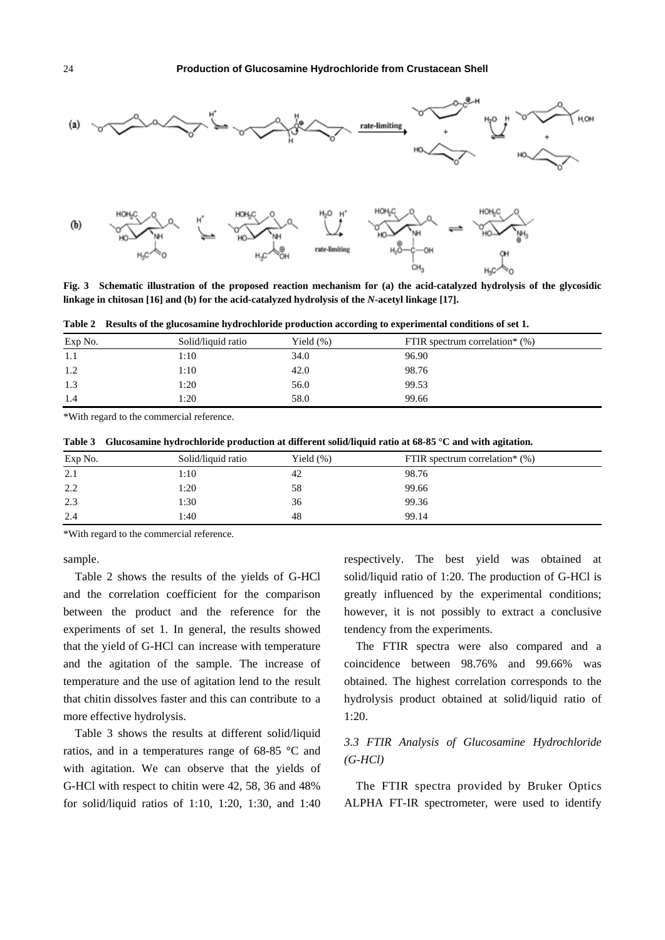

**Fig. 3 Schematic illustration of the proposed reaction mechanism for (a) the acid-catalyzed hydrolysis of the glycosidic linkage in chitosan [16] and (b) for the acid-catalyzed hydrolysis of the** *N***-acetyl linkage [17].** 

**Table 2 Results of the glucosamine hydrochloride production according to experimental conditions of set 1.** 

| Exp No. | Solid/liquid ratio | Yield $(\%)$ | FTIR spectrum correlation* $(\%)$ |  |
|---------|--------------------|--------------|-----------------------------------|--|
| 1.1     | 1:10               | 34.0         | 96.90                             |  |
| 1.2     | 1:10               | 42.0         | 98.76                             |  |
| 1.3     | 1:20               | 56.0         | 99.53                             |  |
| 1.4     | 1:20               | 58.0         | 99.66                             |  |

\*With regard to the commercial reference.

**Table 3 Glucosamine hydrochloride production at different solid/liquid ratio at 68-85 °C and with agitation.** 

| Exp No. | Solid/liquid ratio | Yield $(\%)$ | FTIR spectrum correlation* $(\%)$ |
|---------|--------------------|--------------|-----------------------------------|
| 2.1     | 1:10               | 42           | 98.76                             |
| 2.2     | 1:20               | 58           | 99.66                             |
| 2.3     | 1:30               | 36           | 99.36                             |
| 2.4     | 1:40               | 48           | 99.14                             |

\*With regard to the commercial reference.

sample.

Table 2 shows the results of the yields of G-HCl and the correlation coefficient for the comparison between the product and the reference for the experiments of set 1. In general, the results showed that the yield of G-HCl can increase with temperature and the agitation of the sample. The increase of temperature and the use of agitation lend to the result that chitin dissolves faster and this can contribute to a more effective hydrolysis.

Table 3 shows the results at different solid/liquid ratios, and in a temperatures range of 68-85 °C and with agitation. We can observe that the yields of G-HCl with respect to chitin were 42, 58, 36 and 48% for solid/liquid ratios of 1:10, 1:20, 1:30, and 1:40 respectively. The best yield was obtained at solid/liquid ratio of 1:20. The production of G-HCl is greatly influenced by the experimental conditions; however, it is not possibly to extract a conclusive tendency from the experiments.

The FTIR spectra were also compared and a coincidence between 98.76% and 99.66% was obtained. The highest correlation corresponds to the hydrolysis product obtained at solid/liquid ratio of 1:20.

# *3.3 FTIR Analysis of Glucosamine Hydrochloride (G-HCl)*

The FTIR spectra provided by Bruker Optics ALPHA FT-IR spectrometer, were used to identify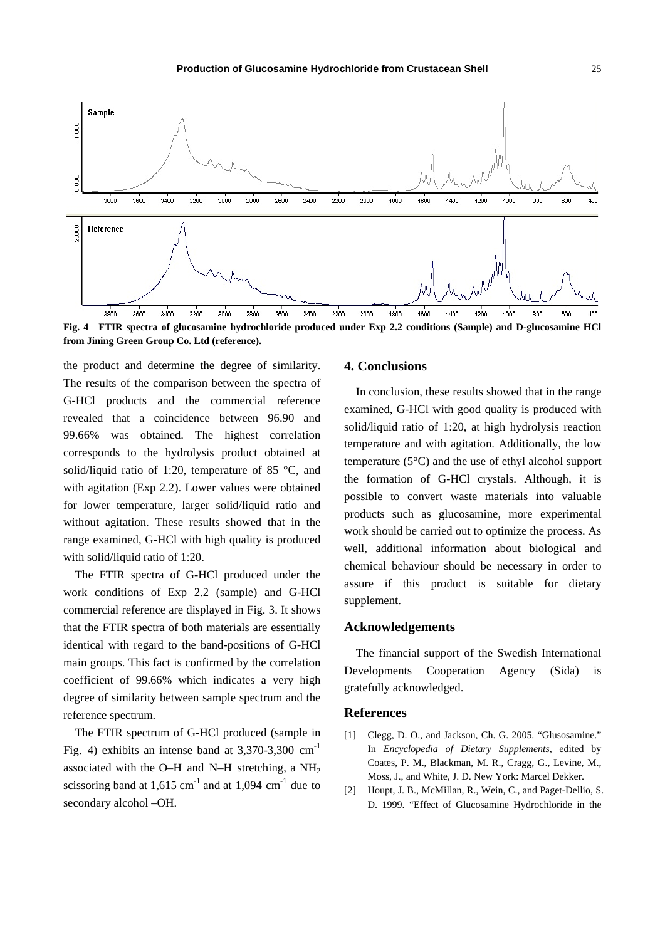

**Fig. 4 FTIR spectra of glucosamine hydrochloride produced under Exp 2.2 conditions (Sample) and D-glucosamine HCl from Jining Green Group Co. Ltd (reference).** 

the product and determine the degree of similarity. The results of the comparison between the spectra of G-HCl products and the commercial reference revealed that a coincidence between 96.90 and 99.66% was obtained. The highest correlation corresponds to the hydrolysis product obtained at solid/liquid ratio of 1:20, temperature of 85 °C, and with agitation (Exp 2.2). Lower values were obtained for lower temperature, larger solid/liquid ratio and without agitation. These results showed that in the range examined, G-HCl with high quality is produced with solid/liquid ratio of 1:20.

The FTIR spectra of G-HCl produced under the work conditions of Exp 2.2 (sample) and G-HCl commercial reference are displayed in Fig. 3. It shows that the FTIR spectra of both materials are essentially identical with regard to the band-positions of G-HCl main groups. This fact is confirmed by the correlation coefficient of 99.66% which indicates a very high degree of similarity between sample spectrum and the reference spectrum.

The FTIR spectrum of G-HCl produced (sample in Fig. 4) exhibits an intense band at  $3,370-3,300$  cm<sup>-1</sup> associated with the O–H and N–H stretching, a  $NH<sub>2</sub>$ scissoring band at  $1,615$  cm<sup>-1</sup> and at  $1,094$  cm<sup>-1</sup> due to secondary alcohol –OH.

#### **4. Conclusions**

In conclusion, these results showed that in the range examined, G-HCl with good quality is produced with solid/liquid ratio of 1:20, at high hydrolysis reaction temperature and with agitation. Additionally, the low temperature (5°C) and the use of ethyl alcohol support the formation of G-HCl crystals. Although, it is possible to convert waste materials into valuable products such as glucosamine, more experimental work should be carried out to optimize the process. As well, additional information about biological and chemical behaviour should be necessary in order to assure if this product is suitable for dietary supplement.

# **Acknowledgements**

The financial support of the Swedish International Developments Cooperation Agency (Sida) is gratefully acknowledged.

#### **References**

- [1] Clegg, D. O., and Jackson, Ch. G. 2005. "Glusosamine." In *Encyclopedia of Dietary Supplements*, edited by Coates, P. M., Blackman, M. R., Cragg, G., Levine, M., Moss, J., and White, J. D. New York: Marcel Dekker.
- [2] Houpt, J. B., McMillan, R., Wein, C., and Paget-Dellio, S. D. 1999. "Effect of Glucosamine Hydrochloride in the